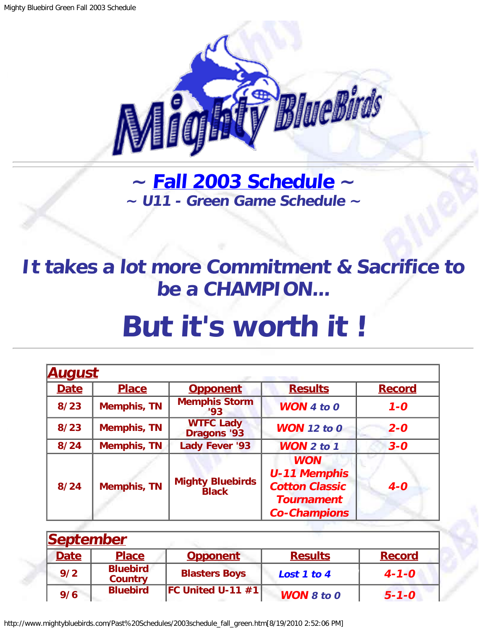

**~ [Fall 2003 Schedule](#page-0-0) ~ ~ U11 - Green Game Schedule ~**

## <span id="page-0-1"></span>**It takes a lot more Commitment & Sacrifice to be a CHAMPION...**

## **But it's worth it !**

<span id="page-0-0"></span>

| <b>August</b> |                    |                                         |                                                                                                        |               |
|---------------|--------------------|-----------------------------------------|--------------------------------------------------------------------------------------------------------|---------------|
| <b>Date</b>   | <b>Place</b>       | <b>Opponent</b>                         | <b>Results</b>                                                                                         | <b>Record</b> |
| 8/23          | <b>Memphis, TN</b> | <b>Memphis Storm</b><br>'93             | <b>WON</b> 4 to $0$                                                                                    | $1 - 0$       |
| 8/23          | <b>Memphis, TN</b> | <b>WTFC Lady</b><br><b>Dragons '93</b>  | <b>WON</b> 12 to 0                                                                                     | $2 - 0$       |
| $8/24$        | <b>Memphis, TN</b> | <b>Lady Fever '93</b>                   | <b>WON 2 to 1</b>                                                                                      | $3 - 0$       |
| 8/24          | <b>Memphis, TN</b> | <b>Mighty Bluebirds</b><br><b>Black</b> | <b>WON</b><br><b>U-11 Memphis</b><br><b>Cotton Classic</b><br><b>Tournament</b><br><b>Co-Champions</b> | $4-0$         |

| September   |                                   |                         |                   |               |  |
|-------------|-----------------------------------|-------------------------|-------------------|---------------|--|
| <b>Date</b> | <b>Place</b>                      | <b>Opponent</b>         | <b>Results</b>    | <b>Record</b> |  |
| 9/2         | <b>Bluebird</b><br><b>Country</b> | <b>Blasters Boys</b>    | Lost 1 to 4       | $4 - 1 - 0$   |  |
| 9/6         | <b>Bluebird</b>                   | $ FC$ United U-11 $#1 $ | <b>WON 8 to 0</b> | $5 - 1 - 0$   |  |

http://www.mightybluebirds.com/Past%20Schedules/2003schedule\_fall\_green.htm[8/19/2010 2:52:06 PM]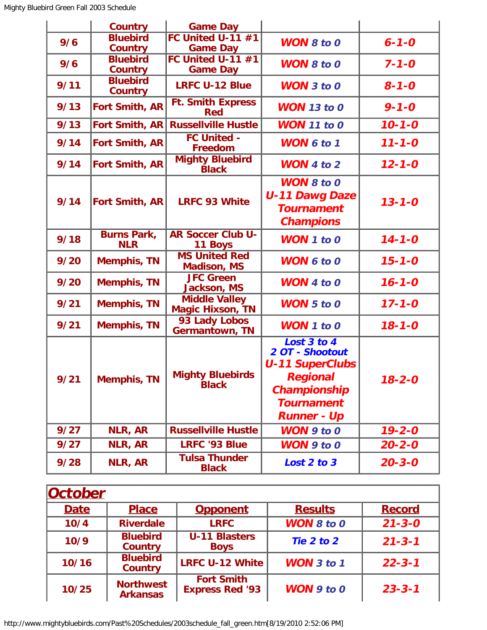|      | <b>Country</b>                    | <b>Game Day</b>                                 |                                                                             |              |
|------|-----------------------------------|-------------------------------------------------|-----------------------------------------------------------------------------|--------------|
| 9/6  | <b>Bluebird</b>                   | <b>FC United U-11 #1</b>                        | <b>WON 8 to 0</b>                                                           | $6 - 1 - 0$  |
|      | <b>Country</b>                    | <b>Game Day</b>                                 |                                                                             |              |
| 9/6  | <b>Bluebird</b>                   | <b>FC United U-11 #1</b>                        | <b>WON 8 to 0</b>                                                           | $7 - 1 - 0$  |
|      | <b>Country</b>                    | <b>Game Day</b>                                 |                                                                             |              |
| 9/11 | <b>Bluebird</b><br><b>Country</b> | <b>LRFC U-12 Blue</b>                           | <b>WON</b> 3 to 0                                                           | $8 - 1 - 0$  |
| 9/13 | <b>Fort Smith, AR</b>             | <b>Ft. Smith Express</b><br><b>Red</b>          | <b>WON</b> 13 to 0                                                          | $9 - 1 - 0$  |
| 9/13 | <b>Fort Smith, AR</b>             | <b>Russellville Hustle</b>                      | <b>WON</b> 11 to 0                                                          | $10 - 1 - 0$ |
| 9/14 | <b>Fort Smith, AR</b>             | <b>FC United -</b><br><b>Freedom</b>            | <b>WON 6 to 1</b>                                                           | $11 - 1 - 0$ |
| 9/14 | <b>Fort Smith, AR</b>             | <b>Mighty Bluebird</b><br><b>Black</b>          | <b>WON</b> 4 to $2$                                                         | $12 - 1 - 0$ |
|      |                                   |                                                 | <b>WON 8 to 0</b>                                                           |              |
|      |                                   |                                                 | <b>U-11 Dawg Daze</b>                                                       |              |
| 9/14 | Fort Smith, AR                    | <b>LRFC 93 White</b>                            | <b>Tournament</b>                                                           | $13 - 1 - 0$ |
|      |                                   |                                                 | <b>Champions</b>                                                            |              |
|      | <b>Burns Park,</b>                | <b>AR Soccer Club U-</b>                        |                                                                             |              |
| 9/18 | <b>NLR</b>                        | 11 Boys                                         | WON 1 to 0                                                                  | $14 - 1 - 0$ |
| 9/20 | <b>Memphis, TN</b>                | <b>MS United Red</b><br><b>Madison, MS</b>      | <b>WON 6 to 0</b>                                                           | $15 - 1 - 0$ |
| 9/20 | <b>Memphis, TN</b>                | <b>JFC Green</b><br><b>Jackson, MS</b>          | <b>WON</b> 4 to 0                                                           | $16 - 1 - 0$ |
| 9/21 | <b>Memphis, TN</b>                | <b>Middle Valley</b><br><b>Magic Hixson, TN</b> | <b>WON</b> 5 to 0                                                           | $17 - 1 - 0$ |
| 9/21 | <b>Memphis, TN</b>                | 93 Lady Lobos<br><b>Germantown, TN</b>          | <b>WON</b> 1 to 0                                                           | $18 - 1 - 0$ |
| 9/21 | <b>Memphis, TN</b>                | <b>Mighty Bluebirds</b>                         | Lost 3 to 4<br>2 OT - Shootout<br><b>U-11 SuperClubs</b><br><b>Regional</b> | $18 - 2 - 0$ |
|      |                                   | <b>Black</b>                                    | Championship                                                                |              |
|      |                                   |                                                 | <b>Tournament</b>                                                           |              |
|      |                                   |                                                 | <b>Runner - Up</b>                                                          |              |
| 9/27 | NLR, AR                           | <b>Russellville Hustle</b>                      | <b>WON</b> 9 to 0                                                           | $19 - 2 - 0$ |
| 9/27 | NLR, AR                           | <b>LRFC '93 Blue</b>                            | WON 9 to 0                                                                  | $20 - 2 - 0$ |
| 9/28 | NLR, AR                           | <b>Tulsa Thunder</b><br><b>Black</b>            | Lost 2 to 3                                                                 | $20 - 3 - 0$ |

| <b>October</b> |                                     |                                             |                       |               |
|----------------|-------------------------------------|---------------------------------------------|-----------------------|---------------|
| <b>Date</b>    | <b>Place</b>                        | <b>Opponent</b>                             | <b>Results</b>        | <b>Record</b> |
| 10/4           | <b>Riverdale</b>                    | <b>LRFC</b>                                 | <b>WON 8 to 0</b>     | $21 - 3 - 0$  |
| 10/9           | <b>Bluebird</b><br><b>Country</b>   | <b>U-11 Blasters</b><br><b>Boys</b>         | Tie 2 to 2            | $21 - 3 - 1$  |
| 10/16          | <b>Bluebird</b><br><b>Country</b>   | <b>LRFC U-12 White</b>                      | <b>WON</b> $3$ to $1$ | $22 - 3 - 1$  |
| 10/25          | <b>Northwest</b><br><b>Arkansas</b> | <b>Fort Smith</b><br><b>Express Red '93</b> | $WON$ 9 to 0          | $23 - 3 - 1$  |